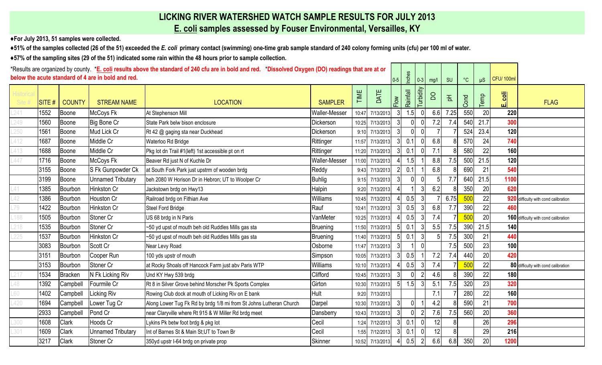## **LICKING RIVER WATERSHED WATCH SAMPLE RESULTS FOR JULY 2013**

**E. coli samples assessed by Fouser Environmental, Versailles, KY**

**♦For July 2013, 51 samples were collected.** 

**♦51% of the samples collected (26 of the 51) exceeded the** *E. coli* **primary contact (swimming) one-time grab sample standard of 240 colony forming units (cfu) per 100 ml of water.**

**♦57% of the sampling sites (29 of the 51) indicated some rain within the 48 hours prior to sample collection.** 

| *Results are organized by county. *E. coli results above the standard of 240 cfu are in bold and red. *Dissolved Oxygen (DO) readings that are at or<br>below the acute standard of 4 are in bold and red. |       |                |                          |                                                                    |                      |       | $0-5$           | Inches         | $0 - 3$  | mg/l           | SU  | $^{\circ}{\rm C}$ | $\mu$ S | <b>CFU/100ml</b> |      |                                      |
|------------------------------------------------------------------------------------------------------------------------------------------------------------------------------------------------------------|-------|----------------|--------------------------|--------------------------------------------------------------------|----------------------|-------|-----------------|----------------|----------|----------------|-----|-------------------|---------|------------------|------|--------------------------------------|
| Historic<br>Site #                                                                                                                                                                                         | SITE# | <b>COUNTY</b>  | <b>STREAM NAME</b>       | <b>LOCATION</b>                                                    | <b>SAMPLER</b>       | TIME  | DATE            | Flow           | Rainfall | Turbidity      | S   | $\overline{A}$    | Cond    | emp              | انى  | <b>FLAG</b>                          |
| .241                                                                                                                                                                                                       | 1552  | Boone          | McCoys Fk                | At Stephenson Mill                                                 | <b>Waller-Messer</b> | 10:47 | 7/13/2013       | 3              | 1.5      |                | 6.6 | 7.25              | 550     | 20               | 220  |                                      |
| 249                                                                                                                                                                                                        | 1560  | Boone          | Big Bone Cr              | State Park belw bison enclosure                                    | Dickerson            | 10:25 | 7/13/2013       |                |          |                | 7.2 | 7.4               | 540     | 21.7             | 300  |                                      |
|                                                                                                                                                                                                            | 1561  | Boone          | Mud Lick Cr              | Rt 42 @ gaging sta near Duckhead                                   | Dickerson            |       | 9:10 7/13/2013  | $\overline{3}$ |          | $\Omega$       |     |                   | 524     | 23.4             | 120  |                                      |
|                                                                                                                                                                                                            | 1687  | Boone          | Middle Cr                | Waterloo Rd Bridge                                                 | Rittinger            | 11:57 | 7/13/2013       |                | 0.1      |                | 6.8 |                   | 570     | 24               | 740  |                                      |
|                                                                                                                                                                                                            | 1688  | Boone          | Middle Cr                | Pkg lot dn Trail #1(left) 1st accessible pt on rt                  | Rittinger            | 11:20 | 7/13/2013       | $\mathcal{E}$  | 0.1      | $\Omega$       | 7.1 |                   | 580     | 22               | 160  |                                      |
|                                                                                                                                                                                                            | 1716  | Boone          | McCoys Fk                | Beaver Rd just N of Kuchle Dr                                      | <b>Waller-Messer</b> | 11:00 | 7/13/2013       |                | 1.5      |                | 8.8 | 7.5               | 500     | 21.5             | 120  |                                      |
|                                                                                                                                                                                                            | 3155  | Boone          | S Fk Gunpowder Ck        | at South Fork Park just upstrm of wooden brdg                      | Reddy                | 9:43  | 7/13/2013       |                | 0.1      |                | 6.8 |                   | 690     | 21               | 540  |                                      |
|                                                                                                                                                                                                            | 3199  | Boone          | <b>Unnamed Tributary</b> | beh 2080 W Horison Dr in Hebron; UT to Woolper Cr                  | <b>Buhlig</b>        | 9:15  | 7/13/2013       |                |          |                |     | 7.7               | 640     | 21.5             | 1100 |                                      |
|                                                                                                                                                                                                            | 1385  | Bourbon        | Hinkston Cr              | Jackstown brdg on Hwy13                                            | Halpin               | 9:20  | 7/13/2013       |                |          | 3              | 6.2 |                   | 350     | 20               | 620  |                                      |
|                                                                                                                                                                                                            | 1386  | Bourbon        | Houston Cr               | Railroad brdg on Fithian Ave                                       | Williams             | 10:45 | 7/13/2013       |                | 0.5      | $\overline{3}$ |     | 6.75              | 500     | 22               |      | 920 difficulty with cond calibration |
|                                                                                                                                                                                                            | 1422  | Bourbon        | Hinkston Cr              | Steel Ford Bridge                                                  | Rauf                 | 10:41 | 7/13/2013       |                | 0.5      |                | 6.8 | 7.7               | 390     | 22               | 460  |                                      |
|                                                                                                                                                                                                            | 1505  | Bourbon        | Stoner Cr                | US 68 brdg in N Paris                                              | VanMeter             | 10:25 | 7/13/2013       |                | 0.5      | 3              | 7.4 |                   | 500     | 20               |      | 160 difficulty with cond calibration |
|                                                                                                                                                                                                            | 1535  | Bourbon        | Stoner Cr                | -50 yd upst of mouth beh old Ruddles Mills gas sta                 | Bruening             | 11:50 | 7/13/2013       |                | 0.1      |                | 5.5 | 7.5               | 390     | 21.5             | 140  |                                      |
|                                                                                                                                                                                                            | 1537  | Bourbon        | Hinkston Cr              | ~50 yd upst of mouth beh old Ruddles Mills gas sta                 | Bruening             | 11:40 | 7/13/2013       | 5 <sub>l</sub> | 0.1      | 3              |     | 7.5               | 300     | 21               | 440  |                                      |
|                                                                                                                                                                                                            | 3083  | Bourbon        | Scott Cr                 | Near Levy Road                                                     | Osborne              | 11:47 | 7/13/2013       |                |          |                |     | 7.5               | 500     | 23               | 100  |                                      |
|                                                                                                                                                                                                            | 3151  | Bourbon        | Cooper Run               | 100 yds upstr of mouth                                             | Simpson              | 10:05 | 7/13/2013       |                | 0.5      |                | 7.2 | 7.4               | 440     | 20               | 420  |                                      |
|                                                                                                                                                                                                            | 3153  | Bourbon        | Stoner Cr                | at Rocky Shoals off Hancock Farm just abv Paris WTP                | Williams             | 10:10 | 7/13/2013       |                | 0.5      |                | 7.4 |                   | 50      | 22               |      | 80 difficulty with cond calibration  |
|                                                                                                                                                                                                            | 1534  | <b>Bracken</b> | N Fk Licking Riv         | Und KY Hwy 539 brdg                                                | Clifford             | 10:45 | 7/13/2013       |                |          |                | 4.6 |                   | 390     | 22               | 180  |                                      |
| 48                                                                                                                                                                                                         | 1392  | Campbell       | Fourmile Cr              | Rt 8 in Silver Grove behind Morscher Pk Sports Complex             | Girton               | 10:30 | 7/13/2013       | 5 <sub>l</sub> | 1.5      |                | 5.1 | 7.5               | 320     | 23               | 320  |                                      |
|                                                                                                                                                                                                            | 1402  | Campbell       | Licking Riv              | Rowing Club dock at mouth of Licking Riv on E bank                 | Hult                 |       | 9:20 7/13/2013  |                |          |                | 7.1 |                   | 280     | 22               | 160  |                                      |
|                                                                                                                                                                                                            | 1694  | Campbell       | Lower Tug Cr             | Along Lower Tug Fk Rd by brdg 1/8 mi from St Johns Lutheran Church | Darpel               | 10:30 | 7/13/2013       |                |          |                | 4.2 |                   | 590     | 21               | 700  |                                      |
|                                                                                                                                                                                                            | 2933  | Campbell       | Pond Cr                  | near Claryville where Rt 915 & W Miller Rd brdg meet               | Dansberry            | 10:43 | 7/13/2013       | $\overline{3}$ |          |                | 7.6 | 7.5               | 560     | 20               | 360  |                                      |
|                                                                                                                                                                                                            | 1608  | Clark          | Hoods Cr                 | Lykins Pk betw foot brdg & pkg lot                                 | Cecil                | 1:24  | 7/12/2013       |                | 0.1      | $\Omega$       | 12  |                   |         | 26               | 296  |                                      |
|                                                                                                                                                                                                            | 1609  | Clark          | <b>Unnamed Tributary</b> | Int of Barnes St & Main St;UT to Town Br                           | Cecil                | 1:55  | 7/12/2013       | $\mathcal{E}$  | 0.1      | $\mathbf{0}$   | 12  |                   |         | 29               | 216  |                                      |
|                                                                                                                                                                                                            | 3217  | Clark          | Stoner Cr                | 350yd upstr I-64 brdg on private prop                              | <b>Skinner</b>       |       | 10:52 7/13/2013 |                | 0.5      |                | 6.6 | 6.8               | 350     | 20               | 1200 |                                      |